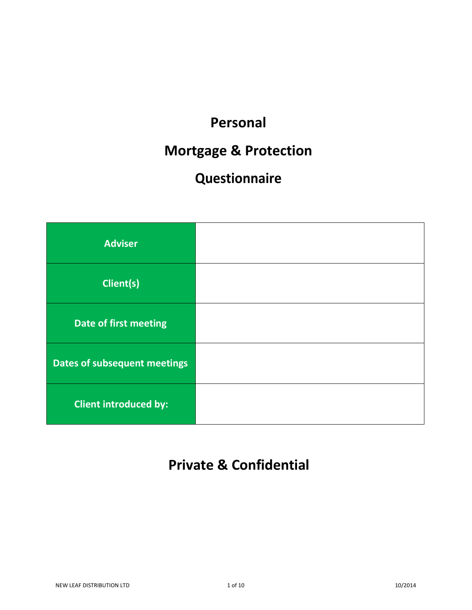## **Personal**

## **Mortgage & Protection**

# **Questionnaire**

| <b>Adviser</b>               |  |
|------------------------------|--|
| <b>Client(s)</b>             |  |
| <b>Date of first meeting</b> |  |
| Dates of subsequent meetings |  |
| <b>Client introduced by:</b> |  |

## **Private & Confidential**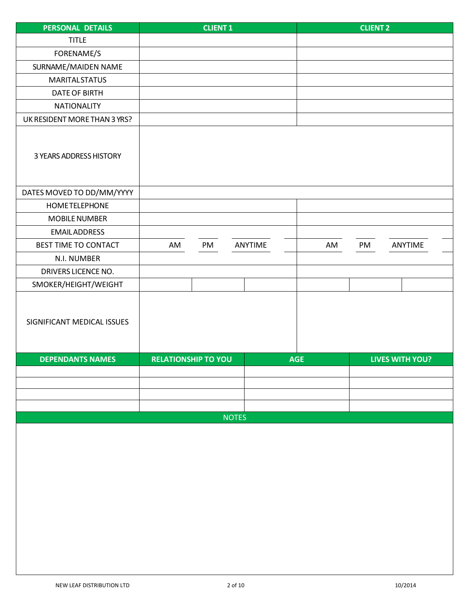| <b>TITLE</b><br>FORENAME/S<br>SURNAME/MAIDEN NAME<br><b>MARITAL STATUS</b><br><b>DATE OF BIRTH</b><br><b>NATIONALITY</b><br>UK RESIDENT MORE THAN 3 YRS?<br>3 YEARS ADDRESS HISTORY<br>DATES MOVED TO DD/MM/YYYY<br>HOMETELEPHONE<br><b>MOBILE NUMBER</b><br><b>EMAILADDRESS</b><br>BEST TIME TO CONTACT<br>ANYTIME<br>ANYTIME<br>AM<br>PM<br>AM<br>PM<br>N.I. NUMBER<br>DRIVERS LICENCE NO.<br>SMOKER/HEIGHT/WEIGHT<br>SIGNIFICANT MEDICAL ISSUES<br><b>DEPENDANTS NAMES</b><br><b>RELATIONSHIP TO YOU</b><br><b>AGE</b><br><b>LIVES WITH YOU?</b><br><b>NOTES</b> | PERSONAL DETAILS | <b>CLIENT 1</b> | <b>CLIENT 2</b> |
|---------------------------------------------------------------------------------------------------------------------------------------------------------------------------------------------------------------------------------------------------------------------------------------------------------------------------------------------------------------------------------------------------------------------------------------------------------------------------------------------------------------------------------------------------------------------|------------------|-----------------|-----------------|
|                                                                                                                                                                                                                                                                                                                                                                                                                                                                                                                                                                     |                  |                 |                 |
|                                                                                                                                                                                                                                                                                                                                                                                                                                                                                                                                                                     |                  |                 |                 |
|                                                                                                                                                                                                                                                                                                                                                                                                                                                                                                                                                                     |                  |                 |                 |
|                                                                                                                                                                                                                                                                                                                                                                                                                                                                                                                                                                     |                  |                 |                 |
|                                                                                                                                                                                                                                                                                                                                                                                                                                                                                                                                                                     |                  |                 |                 |
|                                                                                                                                                                                                                                                                                                                                                                                                                                                                                                                                                                     |                  |                 |                 |
|                                                                                                                                                                                                                                                                                                                                                                                                                                                                                                                                                                     |                  |                 |                 |
|                                                                                                                                                                                                                                                                                                                                                                                                                                                                                                                                                                     |                  |                 |                 |
|                                                                                                                                                                                                                                                                                                                                                                                                                                                                                                                                                                     |                  |                 |                 |
|                                                                                                                                                                                                                                                                                                                                                                                                                                                                                                                                                                     |                  |                 |                 |
|                                                                                                                                                                                                                                                                                                                                                                                                                                                                                                                                                                     |                  |                 |                 |
|                                                                                                                                                                                                                                                                                                                                                                                                                                                                                                                                                                     |                  |                 |                 |
|                                                                                                                                                                                                                                                                                                                                                                                                                                                                                                                                                                     |                  |                 |                 |
|                                                                                                                                                                                                                                                                                                                                                                                                                                                                                                                                                                     |                  |                 |                 |
|                                                                                                                                                                                                                                                                                                                                                                                                                                                                                                                                                                     |                  |                 |                 |
|                                                                                                                                                                                                                                                                                                                                                                                                                                                                                                                                                                     |                  |                 |                 |
|                                                                                                                                                                                                                                                                                                                                                                                                                                                                                                                                                                     |                  |                 |                 |
|                                                                                                                                                                                                                                                                                                                                                                                                                                                                                                                                                                     |                  |                 |                 |
|                                                                                                                                                                                                                                                                                                                                                                                                                                                                                                                                                                     |                  |                 |                 |
|                                                                                                                                                                                                                                                                                                                                                                                                                                                                                                                                                                     |                  |                 |                 |
|                                                                                                                                                                                                                                                                                                                                                                                                                                                                                                                                                                     |                  |                 |                 |
|                                                                                                                                                                                                                                                                                                                                                                                                                                                                                                                                                                     |                  |                 |                 |
|                                                                                                                                                                                                                                                                                                                                                                                                                                                                                                                                                                     |                  |                 |                 |
|                                                                                                                                                                                                                                                                                                                                                                                                                                                                                                                                                                     |                  |                 |                 |
|                                                                                                                                                                                                                                                                                                                                                                                                                                                                                                                                                                     |                  |                 |                 |
|                                                                                                                                                                                                                                                                                                                                                                                                                                                                                                                                                                     |                  |                 |                 |
|                                                                                                                                                                                                                                                                                                                                                                                                                                                                                                                                                                     |                  |                 |                 |
|                                                                                                                                                                                                                                                                                                                                                                                                                                                                                                                                                                     |                  |                 |                 |
|                                                                                                                                                                                                                                                                                                                                                                                                                                                                                                                                                                     |                  |                 |                 |
|                                                                                                                                                                                                                                                                                                                                                                                                                                                                                                                                                                     |                  |                 |                 |
|                                                                                                                                                                                                                                                                                                                                                                                                                                                                                                                                                                     |                  |                 |                 |
|                                                                                                                                                                                                                                                                                                                                                                                                                                                                                                                                                                     |                  |                 |                 |
|                                                                                                                                                                                                                                                                                                                                                                                                                                                                                                                                                                     |                  |                 |                 |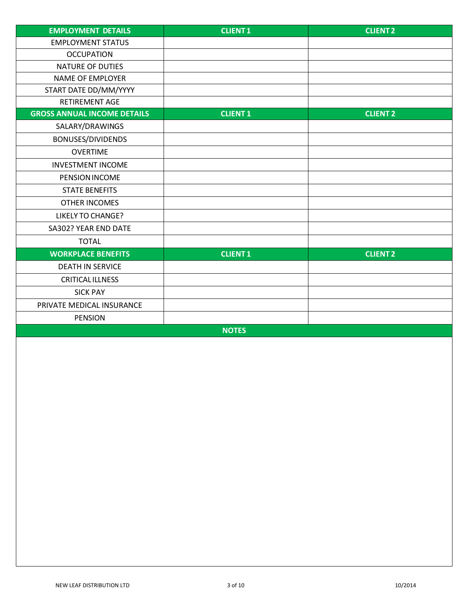| <b>EMPLOYMENT DETAILS</b>          | <b>CLIENT1</b>  | <b>CLIENT2</b>  |
|------------------------------------|-----------------|-----------------|
| <b>EMPLOYMENT STATUS</b>           |                 |                 |
| <b>OCCUPATION</b>                  |                 |                 |
| <b>NATURE OF DUTIES</b>            |                 |                 |
| <b>NAME OF EMPLOYER</b>            |                 |                 |
| START DATE DD/MM/YYYY              |                 |                 |
| RETIREMENT AGE                     |                 |                 |
| <b>GROSS ANNUAL INCOME DETAILS</b> | <b>CLIENT 1</b> | <b>CLIENT 2</b> |
| SALARY/DRAWINGS                    |                 |                 |
| BONUSES/DIVIDENDS                  |                 |                 |
| <b>OVERTIME</b>                    |                 |                 |
| <b>INVESTMENT INCOME</b>           |                 |                 |
| PENSION INCOME                     |                 |                 |
| <b>STATE BENEFITS</b>              |                 |                 |
| <b>OTHER INCOMES</b>               |                 |                 |
| <b>LIKELY TO CHANGE?</b>           |                 |                 |
| SA302? YEAR END DATE               |                 |                 |
| <b>TOTAL</b>                       |                 |                 |
| <b>WORKPLACE BENEFITS</b>          | <b>CLIENT1</b>  | <b>CLIENT 2</b> |
| <b>DEATH IN SERVICE</b>            |                 |                 |
| <b>CRITICALILLNESS</b>             |                 |                 |
| <b>SICK PAY</b>                    |                 |                 |
| PRIVATE MEDICAL INSURANCE          |                 |                 |
| <b>PENSION</b>                     |                 |                 |
|                                    | <b>NOTES</b>    |                 |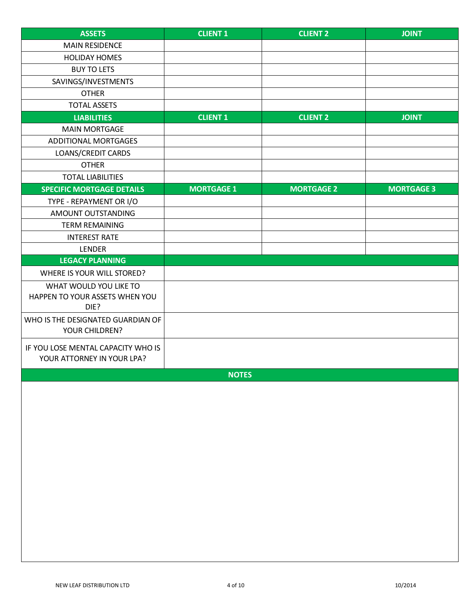| <b>ASSETS</b>                                                    | <b>CLIENT 1</b>   | <b>CLIENT 2</b>   | <b>JOINT</b>      |
|------------------------------------------------------------------|-------------------|-------------------|-------------------|
| <b>MAIN RESIDENCE</b>                                            |                   |                   |                   |
| <b>HOLIDAY HOMES</b>                                             |                   |                   |                   |
| <b>BUY TO LETS</b>                                               |                   |                   |                   |
| SAVINGS/INVESTMENTS                                              |                   |                   |                   |
| <b>OTHER</b>                                                     |                   |                   |                   |
| <b>TOTAL ASSETS</b>                                              |                   |                   |                   |
| <b>LIABILITIES</b>                                               | <b>CLIENT 1</b>   | <b>CLIENT 2</b>   | <b>JOINT</b>      |
| <b>MAIN MORTGAGE</b>                                             |                   |                   |                   |
| <b>ADDITIONAL MORTGAGES</b>                                      |                   |                   |                   |
| <b>LOANS/CREDIT CARDS</b>                                        |                   |                   |                   |
| <b>OTHER</b>                                                     |                   |                   |                   |
| <b>TOTAL LIABILITIES</b>                                         |                   |                   |                   |
| <b>SPECIFIC MORTGAGE DETAILS</b>                                 | <b>MORTGAGE 1</b> | <b>MORTGAGE 2</b> | <b>MORTGAGE 3</b> |
| TYPE - REPAYMENT OR I/O                                          |                   |                   |                   |
| AMOUNT OUTSTANDING                                               |                   |                   |                   |
| <b>TERM REMAINING</b>                                            |                   |                   |                   |
| <b>INTEREST RATE</b>                                             |                   |                   |                   |
| LENDER                                                           |                   |                   |                   |
| <b>LEGACY PLANNING</b>                                           |                   |                   |                   |
| WHERE IS YOUR WILL STORED?                                       |                   |                   |                   |
| WHAT WOULD YOU LIKE TO                                           |                   |                   |                   |
| HAPPEN TO YOUR ASSETS WHEN YOU<br>DIE?                           |                   |                   |                   |
| WHO IS THE DESIGNATED GUARDIAN OF<br>YOUR CHILDREN?              |                   |                   |                   |
| IF YOU LOSE MENTAL CAPACITY WHO IS<br>YOUR ATTORNEY IN YOUR LPA? |                   |                   |                   |
|                                                                  | <b>NOTES</b>      |                   |                   |
|                                                                  |                   |                   |                   |
|                                                                  |                   |                   |                   |
|                                                                  |                   |                   |                   |
|                                                                  |                   |                   |                   |
|                                                                  |                   |                   |                   |
|                                                                  |                   |                   |                   |
|                                                                  |                   |                   |                   |
|                                                                  |                   |                   |                   |
|                                                                  |                   |                   |                   |
|                                                                  |                   |                   |                   |
|                                                                  |                   |                   |                   |
|                                                                  |                   |                   |                   |
|                                                                  |                   |                   |                   |
|                                                                  |                   |                   |                   |
|                                                                  |                   |                   |                   |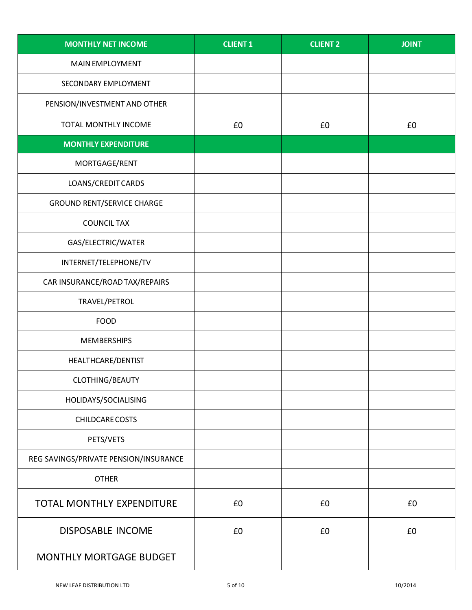| <b>MONTHLY NET INCOME</b>             | <b>CLIENT 1</b> | <b>CLIENT 2</b> | <b>JOINT</b> |
|---------------------------------------|-----------------|-----------------|--------------|
| <b>MAIN EMPLOYMENT</b>                |                 |                 |              |
| SECONDARY EMPLOYMENT                  |                 |                 |              |
| PENSION/INVESTMENT AND OTHER          |                 |                 |              |
| TOTAL MONTHLY INCOME                  | £0              | £0              | £0           |
| <b>MONTHLY EXPENDITURE</b>            |                 |                 |              |
| MORTGAGE/RENT                         |                 |                 |              |
| LOANS/CREDIT CARDS                    |                 |                 |              |
| <b>GROUND RENT/SERVICE CHARGE</b>     |                 |                 |              |
| <b>COUNCIL TAX</b>                    |                 |                 |              |
| GAS/ELECTRIC/WATER                    |                 |                 |              |
| INTERNET/TELEPHONE/TV                 |                 |                 |              |
| CAR INSURANCE/ROAD TAX/REPAIRS        |                 |                 |              |
| TRAVEL/PETROL                         |                 |                 |              |
| <b>FOOD</b>                           |                 |                 |              |
| <b>MEMBERSHIPS</b>                    |                 |                 |              |
| HEALTHCARE/DENTIST                    |                 |                 |              |
| CLOTHING/BEAUTY                       |                 |                 |              |
| HOLIDAYS/SOCIALISING                  |                 |                 |              |
| CHILDCARE COSTS                       |                 |                 |              |
| PETS/VETS                             |                 |                 |              |
| REG SAVINGS/PRIVATE PENSION/INSURANCE |                 |                 |              |
| <b>OTHER</b>                          |                 |                 |              |
| TOTAL MONTHLY EXPENDITURE             | £0              | £0              | £0           |
| <b>DISPOSABLE INCOME</b>              | £0              | £0              | £0           |
| <b>MONTHLY MORTGAGE BUDGET</b>        |                 |                 |              |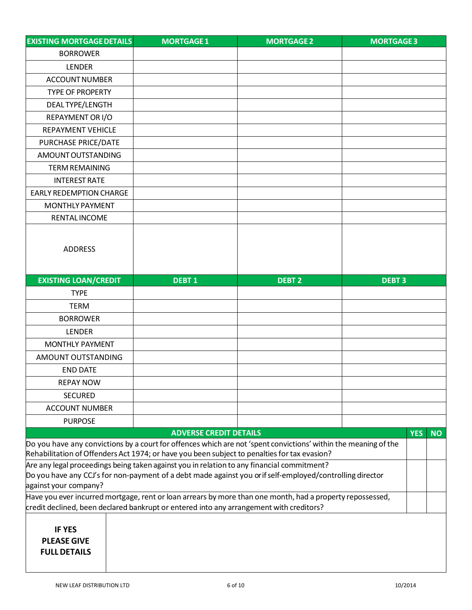| <b>EXISTING MORTGAGE DETAILS</b>                                                                                                  | <b>MORTGAGE 1</b>                                                                                               | <b>MORTGAGE 2</b> | <b>MORTGAGE 3</b> |            |           |
|-----------------------------------------------------------------------------------------------------------------------------------|-----------------------------------------------------------------------------------------------------------------|-------------------|-------------------|------------|-----------|
| <b>BORROWER</b>                                                                                                                   |                                                                                                                 |                   |                   |            |           |
| <b>LENDER</b>                                                                                                                     |                                                                                                                 |                   |                   |            |           |
| <b>ACCOUNT NUMBER</b>                                                                                                             |                                                                                                                 |                   |                   |            |           |
| <b>TYPE OF PROPERTY</b>                                                                                                           |                                                                                                                 |                   |                   |            |           |
| <b>DEALTYPE/LENGTH</b>                                                                                                            |                                                                                                                 |                   |                   |            |           |
| REPAYMENT OR I/O                                                                                                                  |                                                                                                                 |                   |                   |            |           |
| <b>REPAYMENT VEHICLE</b>                                                                                                          |                                                                                                                 |                   |                   |            |           |
| PURCHASE PRICE/DATE                                                                                                               |                                                                                                                 |                   |                   |            |           |
| AMOUNT OUTSTANDING                                                                                                                |                                                                                                                 |                   |                   |            |           |
| <b>TERM REMAINING</b>                                                                                                             |                                                                                                                 |                   |                   |            |           |
| <b>INTEREST RATE</b>                                                                                                              |                                                                                                                 |                   |                   |            |           |
| <b>EARLY REDEMPTION CHARGE</b>                                                                                                    |                                                                                                                 |                   |                   |            |           |
| <b>MONTHLY PAYMENT</b>                                                                                                            |                                                                                                                 |                   |                   |            |           |
| <b>RENTAL INCOME</b>                                                                                                              |                                                                                                                 |                   |                   |            |           |
|                                                                                                                                   |                                                                                                                 |                   |                   |            |           |
|                                                                                                                                   |                                                                                                                 |                   |                   |            |           |
| <b>ADDRESS</b>                                                                                                                    |                                                                                                                 |                   |                   |            |           |
|                                                                                                                                   |                                                                                                                 |                   |                   |            |           |
| <b>EXISTING LOAN/CREDIT</b>                                                                                                       | <b>DEBT1</b>                                                                                                    | <b>DEBT 2</b>     | <b>DEBT3</b>      |            |           |
| <b>TYPE</b>                                                                                                                       |                                                                                                                 |                   |                   |            |           |
| <b>TERM</b>                                                                                                                       |                                                                                                                 |                   |                   |            |           |
| <b>BORROWER</b>                                                                                                                   |                                                                                                                 |                   |                   |            |           |
| <b>LENDER</b>                                                                                                                     |                                                                                                                 |                   |                   |            |           |
| <b>MONTHLY PAYMENT</b>                                                                                                            |                                                                                                                 |                   |                   |            |           |
| AMOUNT OUTSTANDING                                                                                                                |                                                                                                                 |                   |                   |            |           |
| <b>END DATE</b>                                                                                                                   |                                                                                                                 |                   |                   |            |           |
| <b>REPAY NOW</b>                                                                                                                  |                                                                                                                 |                   |                   |            |           |
| <b>SECURED</b>                                                                                                                    |                                                                                                                 |                   |                   |            |           |
| <b>ACCOUNT NUMBER</b>                                                                                                             |                                                                                                                 |                   |                   |            |           |
| <b>PURPOSE</b>                                                                                                                    |                                                                                                                 |                   |                   |            |           |
|                                                                                                                                   | <b>ADVERSE CREDIT DETAILS</b>                                                                                   |                   |                   | <b>YES</b> | <b>NO</b> |
|                                                                                                                                   | Do you have any convictions by a court for offences which are not 'spent convictions' within the meaning of the |                   |                   |            |           |
|                                                                                                                                   | Rehabilitation of Offenders Act 1974; or have you been subject to penalties for tax evasion?                    |                   |                   |            |           |
|                                                                                                                                   | Are any legal proceedings being taken against you in relation to any financial commitment?                      |                   |                   |            |           |
| Do you have any CCJ's for non-payment of a debt made against you orif self-employed/controlling director<br>against your company? |                                                                                                                 |                   |                   |            |           |
| Have you ever incurred mortgage, rent or loan arrears by more than one month, had a property repossessed,                         |                                                                                                                 |                   |                   |            |           |
|                                                                                                                                   | credit declined, been declared bankrupt or entered into any arrangement with creditors?                         |                   |                   |            |           |
|                                                                                                                                   |                                                                                                                 |                   |                   |            |           |
| <b>IF YES</b>                                                                                                                     |                                                                                                                 |                   |                   |            |           |
| <b>PLEASE GIVE</b>                                                                                                                |                                                                                                                 |                   |                   |            |           |
| <b>FULL DETAILS</b>                                                                                                               |                                                                                                                 |                   |                   |            |           |
|                                                                                                                                   |                                                                                                                 |                   |                   |            |           |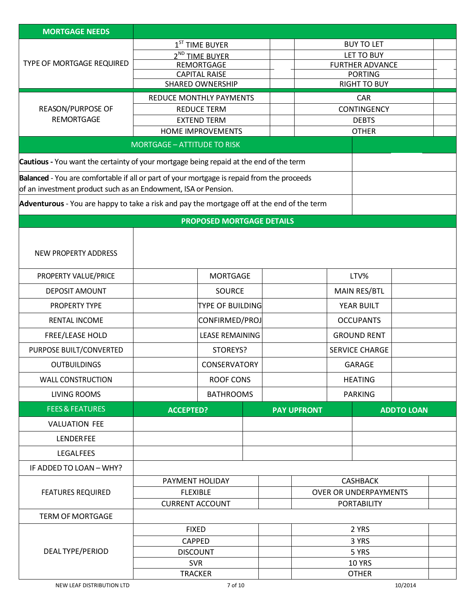| <b>MORTGAGE NEEDS</b>                                                                      |                                                 |                              |                    |                        |                                       |                   |  |
|--------------------------------------------------------------------------------------------|-------------------------------------------------|------------------------------|--------------------|------------------------|---------------------------------------|-------------------|--|
|                                                                                            | $1ST$ TIME BUYER                                |                              |                    |                        | <b>BUY TO LET</b>                     |                   |  |
|                                                                                            | 2 <sup>ND</sup> TIME BUYER                      |                              |                    |                        | LET TO BUY                            |                   |  |
| TYPE OF MORTGAGE REQUIRED                                                                  | REMORTGAGE                                      |                              |                    | <b>FURTHER ADVANCE</b> |                                       |                   |  |
|                                                                                            | <b>CAPITAL RAISE</b><br><b>SHARED OWNERSHIP</b> |                              |                    |                        | <b>PORTING</b><br><b>RIGHT TO BUY</b> |                   |  |
|                                                                                            | <b>REDUCE MONTHLY PAYMENTS</b>                  |                              |                    |                        | <b>CAR</b>                            |                   |  |
| REASON/PURPOSE OF                                                                          | <b>REDUCE TERM</b>                              |                              |                    |                        | <b>CONTINGENCY</b>                    |                   |  |
| <b>REMORTGAGE</b>                                                                          | <b>EXTEND TERM</b>                              |                              |                    |                        | <b>DEBTS</b>                          |                   |  |
|                                                                                            | HOME IMPROVEMENTS                               |                              |                    |                        | <b>OTHER</b>                          |                   |  |
|                                                                                            | <b>MORTGAGE - ATTITUDE TO RISK</b>              |                              |                    |                        |                                       |                   |  |
| Cautious - You want the certainty of your mortgage being repaid at the end of the term     |                                                 |                              |                    |                        |                                       |                   |  |
| Balanced - You are comfortable if all or part of your mortgage is repaid from the proceeds |                                                 |                              |                    |                        |                                       |                   |  |
| of an investment product such as an Endowment, ISA or Pension.                             |                                                 |                              |                    |                        |                                       |                   |  |
| Adventurous - You are happy to take a risk and pay the mortgage off at the end of the term |                                                 |                              |                    |                        |                                       |                   |  |
|                                                                                            | <b>PROPOSED MORTGAGE DETAILS</b>                |                              |                    |                        |                                       |                   |  |
|                                                                                            |                                                 |                              |                    |                        |                                       |                   |  |
|                                                                                            |                                                 |                              |                    |                        |                                       |                   |  |
| <b>NEW PROPERTY ADDRESS</b>                                                                |                                                 |                              |                    |                        |                                       |                   |  |
| PROPERTY VALUE/PRICE                                                                       | <b>MORTGAGE</b>                                 |                              |                    |                        | LTV%                                  |                   |  |
| <b>DEPOSIT AMOUNT</b>                                                                      | SOURCE                                          |                              |                    |                        | MAIN RES/BTL                          |                   |  |
| <b>PROPERTY TYPE</b>                                                                       | <b>TYPE OF BUILDING</b>                         |                              |                    |                        | YEAR BUILT                            |                   |  |
| <b>RENTAL INCOME</b>                                                                       | CONFIRMED/PROJ                                  |                              |                    |                        | <b>OCCUPANTS</b>                      |                   |  |
| FREE/LEASE HOLD                                                                            | <b>LEASE REMAINING</b>                          |                              |                    |                        | <b>GROUND RENT</b>                    |                   |  |
| PURPOSE BUILT/CONVERTED                                                                    | STOREYS?                                        |                              |                    |                        | <b>SERVICE CHARGE</b>                 |                   |  |
| <b>OUTBUILDINGS</b>                                                                        | <b>CONSERVATORY</b>                             |                              |                    |                        | <b>GARAGE</b>                         |                   |  |
| <b>WALL CONSTRUCTION</b>                                                                   | <b>ROOF CONS</b>                                |                              |                    |                        | <b>HEATING</b>                        |                   |  |
| <b>LIVING ROOMS</b>                                                                        | <b>BATHROOMS</b>                                |                              |                    |                        | <b>PARKING</b>                        |                   |  |
| <b>FEES &amp; FEATURES</b>                                                                 | <b>ACCEPTED?</b>                                |                              | <b>PAY UPFRONT</b> |                        |                                       | <b>ADDTO LOAN</b> |  |
| <b>VALUATION FEE</b>                                                                       |                                                 |                              |                    |                        |                                       |                   |  |
| <b>LENDERFEE</b>                                                                           |                                                 |                              |                    |                        |                                       |                   |  |
| <b>LEGALFEES</b>                                                                           |                                                 |                              |                    |                        |                                       |                   |  |
| IF ADDED TO LOAN - WHY?                                                                    |                                                 |                              |                    |                        |                                       |                   |  |
|                                                                                            | <b>CASHBACK</b><br>PAYMENT HOLIDAY              |                              |                    |                        |                                       |                   |  |
| <b>FEATURES REQUIRED</b><br><b>FLEXIBLE</b>                                                |                                                 | <b>OVER OR UNDERPAYMENTS</b> |                    |                        |                                       |                   |  |
|                                                                                            | <b>CURRENT ACCOUNT</b>                          |                              |                    |                        | <b>PORTABILITY</b>                    |                   |  |
| <b>TERM OF MORTGAGE</b>                                                                    |                                                 |                              |                    |                        |                                       |                   |  |
|                                                                                            | <b>FIXED</b>                                    |                              |                    |                        | 2 YRS                                 |                   |  |
|                                                                                            | <b>CAPPED</b>                                   |                              | 3 YRS              |                        |                                       |                   |  |
| DEAL TYPE/PERIOD                                                                           | <b>DISCOUNT</b>                                 |                              |                    | 5 YRS                  |                                       |                   |  |
|                                                                                            | <b>SVR</b><br><b>TRACKER</b>                    |                              |                    |                        | <b>10 YRS</b><br><b>OTHER</b>         |                   |  |
|                                                                                            |                                                 |                              |                    |                        |                                       |                   |  |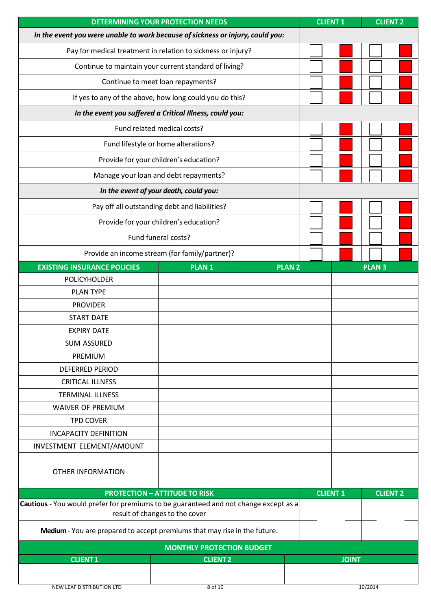| <b>DETERMINING YOUR PROTECTION NEEDS</b>                                             |                                                                           | <b>CLIENT1</b> | <b>CLIENT 2</b> |                 |
|--------------------------------------------------------------------------------------|---------------------------------------------------------------------------|----------------|-----------------|-----------------|
| In the event you were unable to work because of sickness or injury, could you:       |                                                                           |                |                 |                 |
| Pay for medical treatment in relation to sickness or injury?                         |                                                                           |                |                 |                 |
|                                                                                      | Continue to maintain your current standard of living?                     |                |                 |                 |
|                                                                                      | Continue to meet loan repayments?                                         |                |                 |                 |
|                                                                                      | If yes to any of the above, how long could you do this?                   |                |                 |                 |
|                                                                                      | In the event you suffered a Critical Illness, could you:                  |                |                 |                 |
|                                                                                      | Fund related medical costs?                                               |                |                 |                 |
|                                                                                      | Fund lifestyle or home alterations?                                       |                |                 |                 |
|                                                                                      | Provide for your children's education?                                    |                |                 |                 |
|                                                                                      | Manage your loan and debt repayments?                                     |                |                 |                 |
|                                                                                      | In the event of your death, could you:                                    |                |                 |                 |
|                                                                                      | Pay off all outstanding debt and liabilities?                             |                |                 |                 |
|                                                                                      | Provide for your children's education?                                    |                |                 |                 |
|                                                                                      | Fund funeral costs?                                                       |                |                 |                 |
|                                                                                      | Provide an income stream (for family/partner)?                            |                |                 |                 |
| <b>EXISTING INSURANCE POLICIES</b>                                                   | <b>PLAN1</b>                                                              | <b>PLAN 2</b>  |                 | <b>PLAN3</b>    |
| <b>POLICYHOLDER</b>                                                                  |                                                                           |                |                 |                 |
| <b>PLAN TYPE</b>                                                                     |                                                                           |                |                 |                 |
| <b>PROVIDER</b>                                                                      |                                                                           |                |                 |                 |
| <b>START DATE</b>                                                                    |                                                                           |                |                 |                 |
| <b>EXPIRY DATE</b>                                                                   |                                                                           |                |                 |                 |
| <b>SUM ASSURED</b>                                                                   |                                                                           |                |                 |                 |
| PREMIUM                                                                              |                                                                           |                |                 |                 |
| <b>DEFERRED PERIOD</b>                                                               |                                                                           |                |                 |                 |
| <b>CRITICAL ILLNESS</b>                                                              |                                                                           |                |                 |                 |
| <b>TERMINAL ILLNESS</b>                                                              |                                                                           |                |                 |                 |
| <b>WAIVER OF PREMIUM</b>                                                             |                                                                           |                |                 |                 |
| <b>TPD COVER</b>                                                                     |                                                                           |                |                 |                 |
| <b>INCAPACITY DEFINITION</b>                                                         |                                                                           |                |                 |                 |
| INVESTMENT ELEMENT/AMOUNT                                                            |                                                                           |                |                 |                 |
|                                                                                      |                                                                           |                |                 |                 |
| <b>OTHER INFORMATION</b>                                                             |                                                                           |                |                 |                 |
|                                                                                      | <b>PROTECTION - ATTITUDE TO RISK</b>                                      |                | <b>CLIENT 1</b> | <b>CLIENT 2</b> |
| Cautious - You would prefer for premiums to be guaranteed and not change except as a |                                                                           |                |                 |                 |
|                                                                                      | result of changes to the cover                                            |                |                 |                 |
|                                                                                      | Medium - You are prepared to accept premiums that may rise in the future. |                |                 |                 |
|                                                                                      | <b>MONTHLY PROTECTION BUDGET</b>                                          |                |                 |                 |
| <b>CLIENT1</b>                                                                       | <b>CLIENT2</b>                                                            |                |                 | <b>JOINT</b>    |
|                                                                                      |                                                                           |                |                 |                 |
| NEW LEAF DISTRIBUTION LTD                                                            | 8 of 10                                                                   |                |                 | 10/2014         |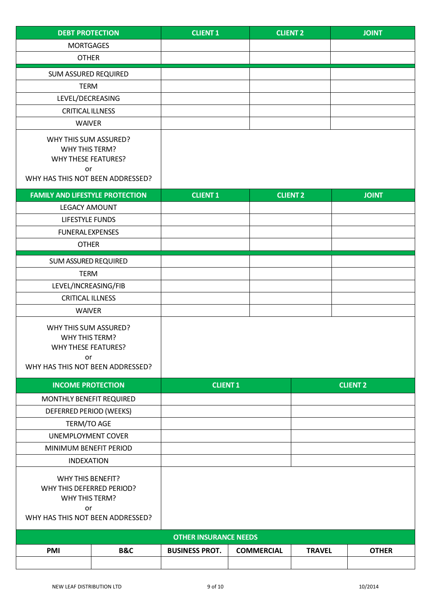| <b>DEBT PROTECTION</b>                                                                                            |     | <b>CLIENT1</b>               |                   | <b>CLIENT 2</b> | <b>JOINT</b>    |
|-------------------------------------------------------------------------------------------------------------------|-----|------------------------------|-------------------|-----------------|-----------------|
| <b>MORTGAGES</b>                                                                                                  |     |                              |                   |                 |                 |
| <b>OTHER</b>                                                                                                      |     |                              |                   |                 |                 |
| SUM ASSURED REQUIRED                                                                                              |     |                              |                   |                 |                 |
| <b>TERM</b>                                                                                                       |     |                              |                   |                 |                 |
| LEVEL/DECREASING                                                                                                  |     |                              |                   |                 |                 |
| <b>CRITICAL ILLNESS</b>                                                                                           |     |                              |                   |                 |                 |
| <b>WAIVER</b>                                                                                                     |     |                              |                   |                 |                 |
| WHY THIS SUM ASSURED?<br>WHY THIS TERM?<br><b>WHY THESE FEATURES?</b><br>or<br>WHY HAS THIS NOT BEEN ADDRESSED?   |     |                              |                   |                 |                 |
| <b>FAMILY AND LIFESTYLE PROTECTION</b>                                                                            |     | <b>CLIENT1</b>               |                   | <b>CLIENT 2</b> | <b>JOINT</b>    |
| <b>LEGACY AMOUNT</b>                                                                                              |     |                              |                   |                 |                 |
| <b>LIFESTYLE FUNDS</b>                                                                                            |     |                              |                   |                 |                 |
| <b>FUNERAL EXPENSES</b>                                                                                           |     |                              |                   |                 |                 |
| <b>OTHER</b>                                                                                                      |     |                              |                   |                 |                 |
| <b>SUM ASSURED REQUIRED</b>                                                                                       |     |                              |                   |                 |                 |
| <b>TERM</b>                                                                                                       |     |                              |                   |                 |                 |
| LEVEL/INCREASING/FIB                                                                                              |     |                              |                   |                 |                 |
| <b>CRITICAL ILLNESS</b>                                                                                           |     |                              |                   |                 |                 |
| <b>WAIVER</b>                                                                                                     |     |                              |                   |                 |                 |
| WHY THIS SUM ASSURED?<br>WHY THIS TERM?<br>WHY THESE FEATURES?<br>or<br>WHY HAS THIS NOT BEEN ADDRESSED?          |     |                              |                   |                 |                 |
| <b>INCOME PROTECTION</b>                                                                                          |     | <b>CLIENT 1</b>              |                   |                 | <b>CLIENT 2</b> |
| MONTHLY BENEFIT REQUIRED                                                                                          |     |                              |                   |                 |                 |
| DEFERRED PERIOD (WEEKS)                                                                                           |     |                              |                   |                 |                 |
| TERM/TO AGE                                                                                                       |     |                              |                   |                 |                 |
| UNEMPLOYMENT COVER                                                                                                |     |                              |                   |                 |                 |
| MINIMUM BENEFIT PERIOD                                                                                            |     |                              |                   |                 |                 |
| <b>INDEXATION</b>                                                                                                 |     |                              |                   |                 |                 |
| <b>WHY THIS BENEFIT?</b><br>WHY THIS DEFERRED PERIOD?<br>WHY THIS TERM?<br>or<br>WHY HAS THIS NOT BEEN ADDRESSED? |     |                              |                   |                 |                 |
|                                                                                                                   |     | <b>OTHER INSURANCE NEEDS</b> |                   |                 |                 |
| PMI                                                                                                               | B&C | <b>BUSINESS PROT.</b>        | <b>COMMERCIAL</b> | <b>TRAVEL</b>   | <b>OTHER</b>    |
|                                                                                                                   |     |                              |                   |                 |                 |